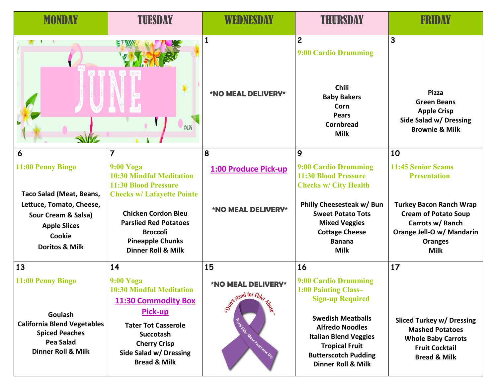| <b>MONDAY</b>                                                                                                                                                         | TUESDAY                                                                                                                                                                                                                                                       | WEDNESDAY                                                                                      | THURSDAY                                                                                                                                                                                                                                               | FRIDAY                                                                                                                                                                                       |
|-----------------------------------------------------------------------------------------------------------------------------------------------------------------------|---------------------------------------------------------------------------------------------------------------------------------------------------------------------------------------------------------------------------------------------------------------|------------------------------------------------------------------------------------------------|--------------------------------------------------------------------------------------------------------------------------------------------------------------------------------------------------------------------------------------------------------|----------------------------------------------------------------------------------------------------------------------------------------------------------------------------------------------|
|                                                                                                                                                                       | <b>CLPi</b>                                                                                                                                                                                                                                                   | <b>*NO MEAL DELIVERY*</b>                                                                      | $\mathbf{2}$<br>9:00 Cardio Drumming<br>Chili<br><b>Baby Bakers</b><br>Corn<br><b>Pears</b><br><b>Cornbread</b><br><b>Milk</b>                                                                                                                         | 3<br><b>Pizza</b><br><b>Green Beans</b><br><b>Apple Crisp</b><br>Side Salad w/ Dressing<br><b>Brownie &amp; Milk</b>                                                                         |
| 6                                                                                                                                                                     | 7                                                                                                                                                                                                                                                             | 8                                                                                              | $\overline{9}$                                                                                                                                                                                                                                         | 10                                                                                                                                                                                           |
| 11:00 Penny Bingo<br>Taco Salad (Meat, Beans,<br>Lettuce, Tomato, Cheese,<br>Sour Cream & Salsa)<br><b>Apple Slices</b><br><b>Cookie</b><br><b>Doritos &amp; Milk</b> | <b>9:00 Yoga</b><br><b>10:30 Mindful Meditation</b><br>11:30 Blood Pressure<br><b>Checks w/ Lafayette Pointe</b><br><b>Chicken Cordon Bleu</b><br><b>Parslied Red Potatoes</b><br><b>Broccoli</b><br><b>Pineapple Chunks</b><br><b>Dinner Roll &amp; Milk</b> | 1:00 Produce Pick-up<br><b>*NO MEAL DELIVERY*</b>                                              | 9:00 Cardio Drumming<br><b>11:30 Blood Pressure</b><br><b>Checks w/ City Health</b><br>Philly Cheesesteak w/ Bun<br><b>Sweet Potato Tots</b><br><b>Mixed Veggies</b><br><b>Cottage Cheese</b><br><b>Banana</b><br><b>Milk</b>                          | 11:45 Senior Scams<br><b>Presentation</b><br><b>Turkey Bacon Ranch Wrap</b><br><b>Cream of Potato Soup</b><br>Carrots w/ Ranch<br>Orange Jell-O w/ Mandarin<br><b>Oranges</b><br><b>Milk</b> |
| 13                                                                                                                                                                    | 14                                                                                                                                                                                                                                                            | 15                                                                                             | 16                                                                                                                                                                                                                                                     | 17                                                                                                                                                                                           |
| 11:00 Penny Bingo<br>Goulash<br><b>California Blend Vegetables</b><br><b>Spiced Peaches</b><br>Pea Salad<br><b>Dinner Roll &amp; Milk</b>                             | 9:00 Yoga<br><b>10:30 Mindful Meditation</b><br>11:30 Commodity Box<br>Pick-up<br><b>Tater Tot Casserole</b><br><b>Succotash</b><br><b>Cherry Crisp</b><br>Side Salad w/ Dressing<br><b>Bread &amp; Milk</b>                                                  | <b>*NO MEAL DELIVERY*</b><br>Sont stand for Elder Magnetic<br><b>Engineer House Management</b> | 9:00 Cardio Drumming<br>1:00 Painting Class-<br><b>Sign-up Required</b><br><b>Swedish Meatballs</b><br><b>Alfredo Noodles</b><br><b>Italian Blend Veggies</b><br><b>Tropical Fruit</b><br><b>Butterscotch Pudding</b><br><b>Dinner Roll &amp; Milk</b> | <b>Sliced Turkey w/ Dressing</b><br><b>Mashed Potatoes</b><br><b>Whole Baby Carrots</b><br><b>Fruit Cocktail</b><br><b>Bread &amp; Milk</b>                                                  |